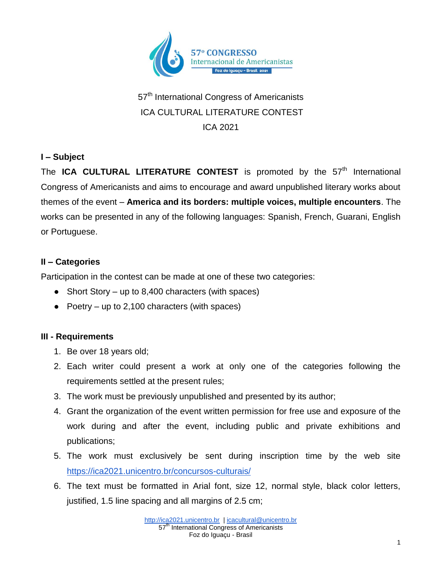

# 57<sup>th</sup> International Congress of Americanists ICA CULTURAL LITERATURE CONTEST ICA 2021

### **I – Subject**

The ICA CULTURAL LITERATURE CONTEST is promoted by the 57<sup>th</sup> International Congress of Americanists and aims to encourage and award unpublished literary works about themes of the event – **America and its borders: multiple voices, multiple encounters**. The works can be presented in any of the following languages: Spanish, French, Guarani, English or Portuguese.

#### **II – Categories**

Participation in the contest can be made at one of these two categories:

- Short Story up to 8,400 characters (with spaces)
- Poetry up to 2,100 characters (with spaces)

## **III - Requirements**

- 1. Be over 18 years old;
- 2. Each writer could present a work at only one of the categories following the requirements settled at the present rules;
- 3. The work must be previously unpublished and presented by its author;
- 4. Grant the organization of the event written permission for free use and exposure of the work during and after the event, including public and private exhibitions and publications;
- 5. The work must exclusively be sent during inscription time by the web site <https://ica2021.unicentro.br/concursos-culturais/>
- 6. The text must be formatted in Arial font, size 12, normal style, black color letters, justified, 1.5 line spacing and all margins of 2.5 cm;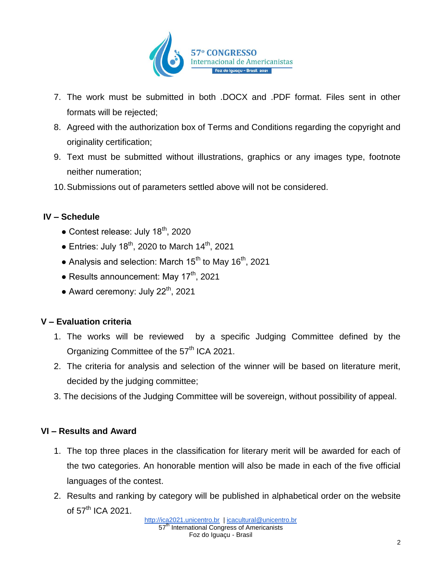

- 7. The work must be submitted in both .DOCX and .PDF format. Files sent in other formats will be rejected;
- 8. Agreed with the authorization box of Terms and Conditions regarding the copyright and originality certification;
- 9. Text must be submitted without illustrations, graphics or any images type, footnote neither numeration;
- 10.Submissions out of parameters settled above will not be considered.

#### **IV – Schedule**

- $\bullet$  Contest release: July 18<sup>th</sup>, 2020
- Entries: July  $18^{th}$ , 2020 to March  $14^{th}$ , 2021
- Analysis and selection: March 15<sup>th</sup> to May 16<sup>th</sup>, 2021
- $\bullet$  Results announcement: May 17<sup>th</sup>, 2021
- Award ceremony: July  $22^{th}$ , 2021

#### **V – Evaluation criteria**

- 1. The works will be reviewed by a specific Judging Committee defined by the Organizing Committee of the 57<sup>th</sup> ICA 2021.
- 2. The criteria for analysis and selection of the winner will be based on literature merit, decided by the judging committee;
- 3. The decisions of the Judging Committee will be sovereign, without possibility of appeal.

#### **VI – Results and Award**

- 1. The top three places in the classification for literary merit will be awarded for each of the two categories. An honorable mention will also be made in each of the five official languages of the contest.
- 2. Results and ranking by category will be published in alphabetical order on the website of  $57<sup>th</sup>$  ICA 2021.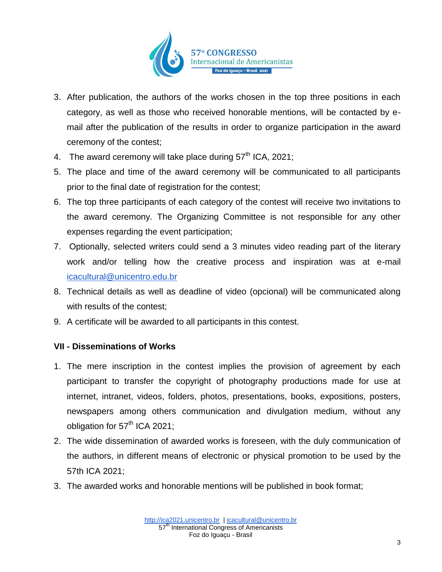

- 3. After publication, the authors of the works chosen in the top three positions in each category, as well as those who received honorable mentions, will be contacted by email after the publication of the results in order to organize participation in the award ceremony of the contest;
- 4. The award ceremony will take place during  $57<sup>th</sup>$  ICA, 2021;
- 5. The place and time of the award ceremony will be communicated to all participants prior to the final date of registration for the contest;
- 6. The top three participants of each category of the contest will receive two invitations to the award ceremony. The Organizing Committee is not responsible for any other expenses regarding the event participation;
- 7. Optionally, selected writers could send a 3 minutes video reading part of the literary work and/or telling how the creative process and inspiration was at e-mail [icacultural@unicentro.edu.br](mailto:icacultural@unicentro.edu.br)
- 8. Technical details as well as deadline of video (opcional) will be communicated along with results of the contest;
- 9. A certificate will be awarded to all participants in this contest.

#### **VII - Disseminations of Works**

- 1. The mere inscription in the contest implies the provision of agreement by each participant to transfer the copyright of photography productions made for use at internet, intranet, videos, folders, photos, presentations, books, expositions, posters, newspapers among others communication and divulgation medium, without any obligation for  $57<sup>th</sup>$  ICA 2021;
- 2. The wide dissemination of awarded works is foreseen, with the duly communication of the authors, in different means of electronic or physical promotion to be used by the 57th ICA 2021;
- 3. The awarded works and honorable mentions will be published in book format;